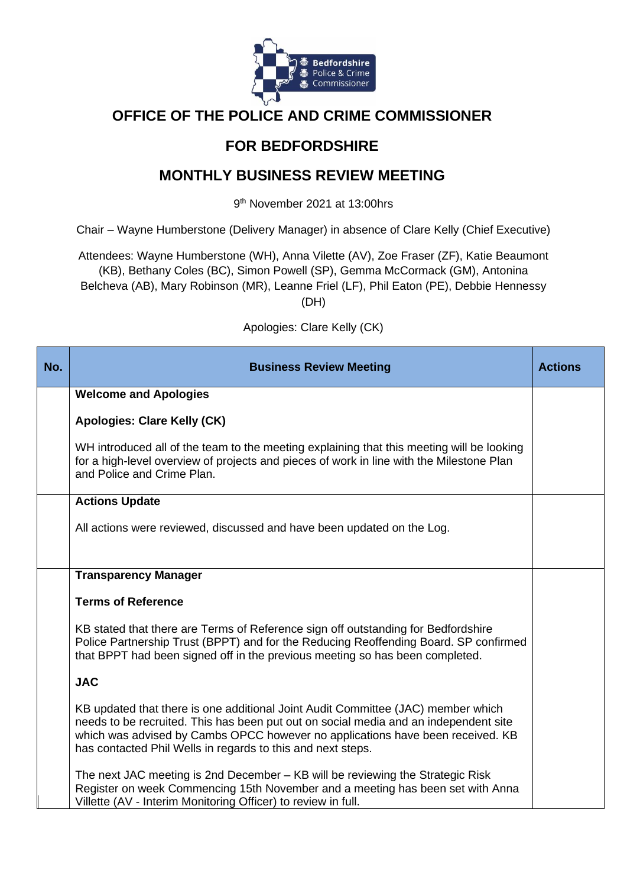

# **OFFICE OF THE POLICE AND CRIME COMMISSIONER**

# **FOR BEDFORDSHIRE**

## **MONTHLY BUSINESS REVIEW MEETING**

9 th November 2021 at 13:00hrs

Chair – Wayne Humberstone (Delivery Manager) in absence of Clare Kelly (Chief Executive)

Attendees: Wayne Humberstone (WH), Anna Vilette (AV), Zoe Fraser (ZF), Katie Beaumont (KB), Bethany Coles (BC), Simon Powell (SP), Gemma McCormack (GM), Antonina Belcheva (AB), Mary Robinson (MR), Leanne Friel (LF), Phil Eaton (PE), Debbie Hennessy

(DH)

Apologies: Clare Kelly (CK)

| No. | <b>Business Review Meeting</b>                                                                                                                                                                                                                                                                                            | <b>Actions</b> |
|-----|---------------------------------------------------------------------------------------------------------------------------------------------------------------------------------------------------------------------------------------------------------------------------------------------------------------------------|----------------|
|     | <b>Welcome and Apologies</b>                                                                                                                                                                                                                                                                                              |                |
|     | Apologies: Clare Kelly (CK)                                                                                                                                                                                                                                                                                               |                |
|     | WH introduced all of the team to the meeting explaining that this meeting will be looking<br>for a high-level overview of projects and pieces of work in line with the Milestone Plan<br>and Police and Crime Plan.                                                                                                       |                |
|     | <b>Actions Update</b>                                                                                                                                                                                                                                                                                                     |                |
|     | All actions were reviewed, discussed and have been updated on the Log.                                                                                                                                                                                                                                                    |                |
|     | <b>Transparency Manager</b>                                                                                                                                                                                                                                                                                               |                |
|     | <b>Terms of Reference</b>                                                                                                                                                                                                                                                                                                 |                |
|     | KB stated that there are Terms of Reference sign off outstanding for Bedfordshire<br>Police Partnership Trust (BPPT) and for the Reducing Reoffending Board. SP confirmed<br>that BPPT had been signed off in the previous meeting so has been completed.                                                                 |                |
|     | <b>JAC</b>                                                                                                                                                                                                                                                                                                                |                |
|     | KB updated that there is one additional Joint Audit Committee (JAC) member which<br>needs to be recruited. This has been put out on social media and an independent site<br>which was advised by Cambs OPCC however no applications have been received. KB<br>has contacted Phil Wells in regards to this and next steps. |                |
|     | The next JAC meeting is 2nd December - KB will be reviewing the Strategic Risk<br>Register on week Commencing 15th November and a meeting has been set with Anna<br>Villette (AV - Interim Monitoring Officer) to review in full.                                                                                         |                |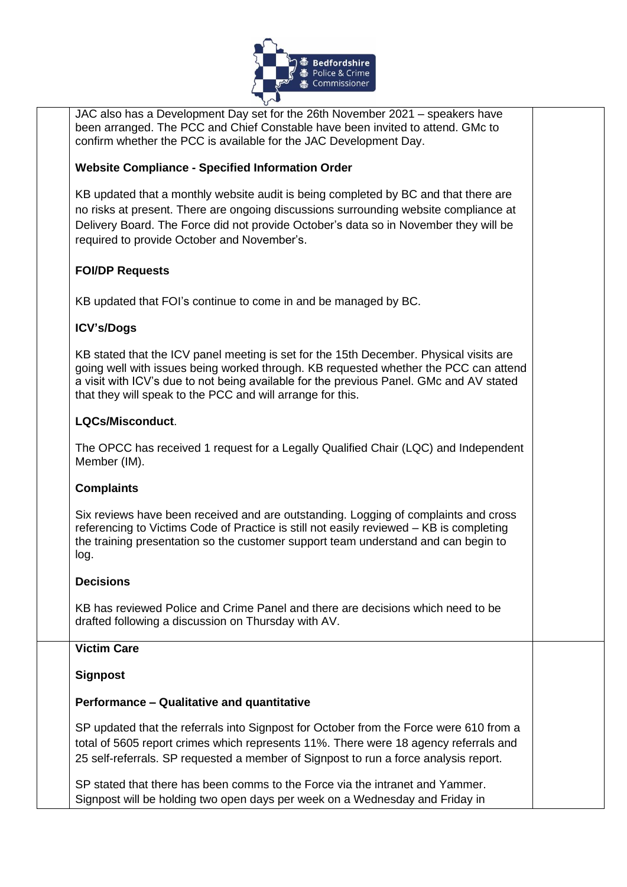

JAC also has a Development Day set for the 26th November 2021 – speakers have been arranged. The PCC and Chief Constable have been invited to attend. GMc to confirm whether the PCC is available for the JAC Development Day.

## **Website Compliance - Specified Information Order**

KB updated that a monthly website audit is being completed by BC and that there are no risks at present. There are ongoing discussions surrounding website compliance at Delivery Board. The Force did not provide October's data so in November they will be required to provide October and November's.

## **FOI/DP Requests**

KB updated that FOI's continue to come in and be managed by BC.

## **ICV's/Dogs**

KB stated that the ICV panel meeting is set for the 15th December. Physical visits are going well with issues being worked through. KB requested whether the PCC can attend a visit with ICV's due to not being available for the previous Panel. GMc and AV stated that they will speak to the PCC and will arrange for this.

#### **LQCs/Misconduct**.

The OPCC has received 1 request for a Legally Qualified Chair (LQC) and Independent Member (IM).

#### **Complaints**

Six reviews have been received and are outstanding. Logging of complaints and cross referencing to Victims Code of Practice is still not easily reviewed – KB is completing the training presentation so the customer support team understand and can begin to log.

#### **Decisions**

KB has reviewed Police and Crime Panel and there are decisions which need to be drafted following a discussion on Thursday with AV.

#### **Victim Care**

**Signpost**

#### **Performance – Qualitative and quantitative**

SP updated that the referrals into Signpost for October from the Force were 610 from a total of 5605 report crimes which represents 11%. There were 18 agency referrals and 25 self-referrals. SP requested a member of Signpost to run a force analysis report.

SP stated that there has been comms to the Force via the intranet and Yammer. Signpost will be holding two open days per week on a Wednesday and Friday in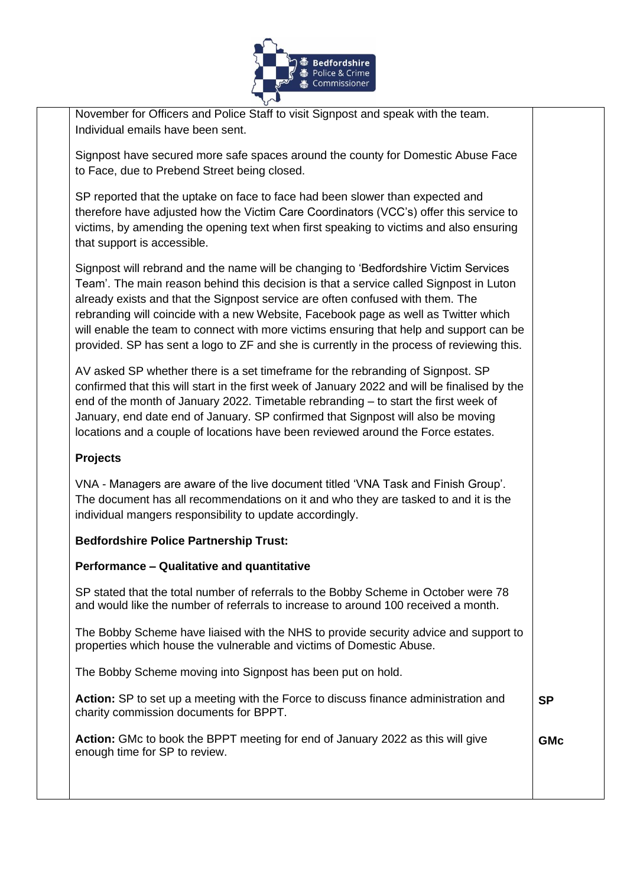

November for Officers and Police Staff to visit Signpost and speak with the team. Individual emails have been sent.

Signpost have secured more safe spaces around the county for Domestic Abuse Face to Face, due to Prebend Street being closed.

SP reported that the uptake on face to face had been slower than expected and therefore have adjusted how the Victim Care Coordinators (VCC's) offer this service to victims, by amending the opening text when first speaking to victims and also ensuring that support is accessible.

Signpost will rebrand and the name will be changing to 'Bedfordshire Victim Services Team'. The main reason behind this decision is that a service called Signpost in Luton already exists and that the Signpost service are often confused with them. The rebranding will coincide with a new Website, Facebook page as well as Twitter which will enable the team to connect with more victims ensuring that help and support can be provided. SP has sent a logo to ZF and she is currently in the process of reviewing this.

AV asked SP whether there is a set timeframe for the rebranding of Signpost. SP confirmed that this will start in the first week of January 2022 and will be finalised by the end of the month of January 2022. Timetable rebranding – to start the first week of January, end date end of January. SP confirmed that Signpost will also be moving locations and a couple of locations have been reviewed around the Force estates.

## **Projects**

VNA - Managers are aware of the live document titled 'VNA Task and Finish Group'. The document has all recommendations on it and who they are tasked to and it is the individual mangers responsibility to update accordingly.

## **Bedfordshire Police Partnership Trust:**

## **Performance – Qualitative and quantitative**

SP stated that the total number of referrals to the Bobby Scheme in October were 78 and would like the number of referrals to increase to around 100 received a month.

The Bobby Scheme have liaised with the NHS to provide security advice and support to properties which house the vulnerable and victims of Domestic Abuse.

The Bobby Scheme moving into Signpost has been put on hold.

**Action:** SP to set up a meeting with the Force to discuss finance administration and charity commission documents for BPPT. **SP**

**GMc**

**Action:** GMc to book the BPPT meeting for end of January 2022 as this will give enough time for SP to review.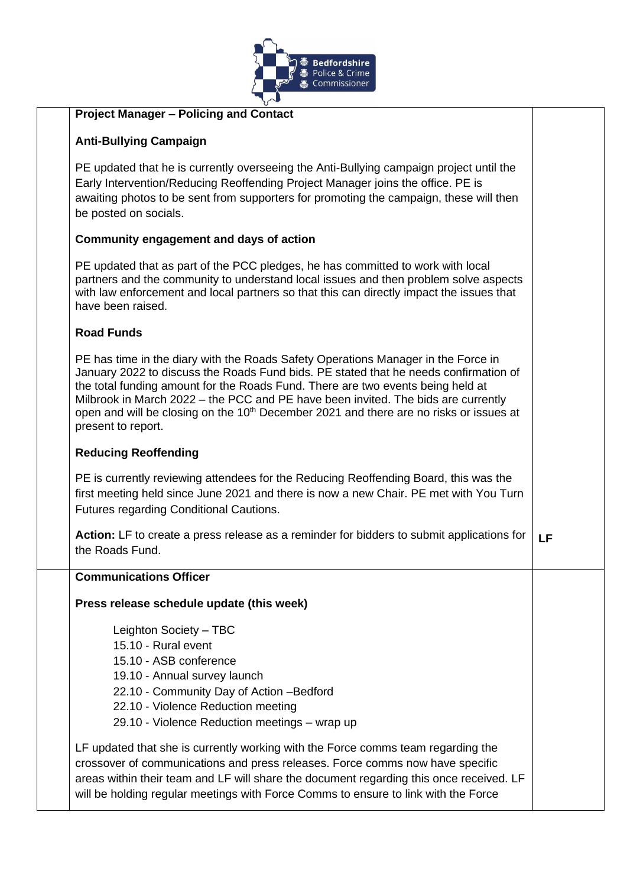

#### **Project Manager – Policing and Contact**

#### **Anti-Bullying Campaign**

PE updated that he is currently overseeing the Anti-Bullying campaign project until the Early Intervention/Reducing Reoffending Project Manager joins the office. PE is awaiting photos to be sent from supporters for promoting the campaign, these will then be posted on socials.

#### **Community engagement and days of action**

PE updated that as part of the PCC pledges, he has committed to work with local partners and the community to understand local issues and then problem solve aspects with law enforcement and local partners so that this can directly impact the issues that have been raised.

#### **Road Funds**

PE has time in the diary with the Roads Safety Operations Manager in the Force in January 2022 to discuss the Roads Fund bids. PE stated that he needs confirmation of the total funding amount for the Roads Fund. There are two events being held at Milbrook in March 2022 – the PCC and PE have been invited. The bids are currently open and will be closing on the 10<sup>th</sup> December 2021 and there are no risks or issues at present to report.

#### **Reducing Reoffending**

PE is currently reviewing attendees for the Reducing Reoffending Board, this was the first meeting held since June 2021 and there is now a new Chair. PE met with You Turn Futures regarding Conditional Cautions.

**Action:** LF to create a press release as a reminder for bidders to submit applications for the Roads Fund. **LF**

#### **Communications Officer**

#### **Press release schedule update (this week)**

Leighton Society – TBC 15.10 - Rural event 15.10 - ASB conference 19.10 - Annual survey launch 22.10 - Community Day of Action –Bedford 22.10 - Violence Reduction meeting 29.10 - Violence Reduction meetings – wrap up

LF updated that she is currently working with the Force comms team regarding the crossover of communications and press releases. Force comms now have specific areas within their team and LF will share the document regarding this once received. LF will be holding regular meetings with Force Comms to ensure to link with the Force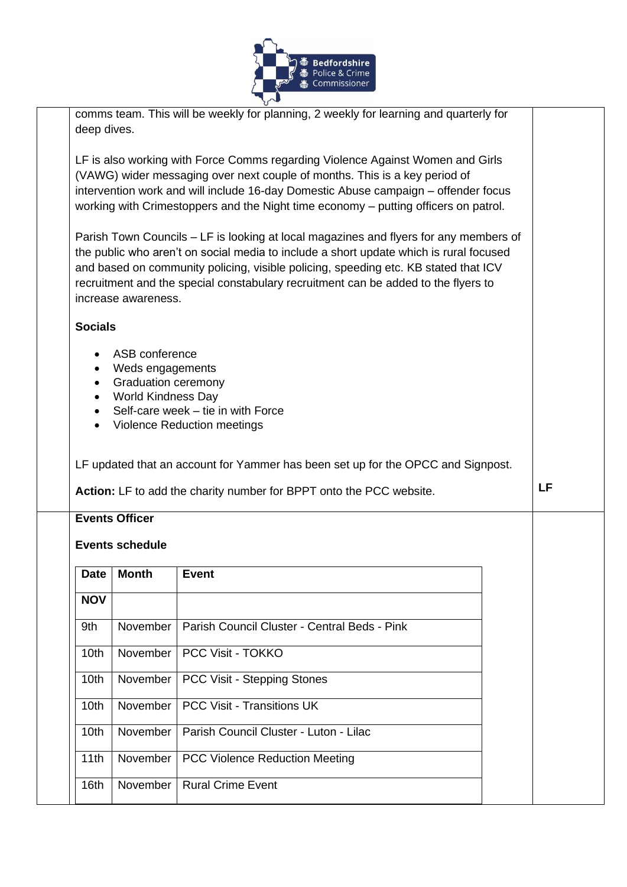

| <b>Date</b><br><b>NOV</b><br>9th<br>10 <sub>th</sub><br>10th<br>10 <sub>th</sub><br>10 <sub>th</sub><br>11th                                                                                                                                                                                                                              | <b>Events Officer</b><br><b>Events schedule</b><br><b>Month</b><br>November<br>November<br>November<br>November<br>November<br>November                                                                                                                                                                                                                                                               | Action: LF to add the charity number for BPPT onto the PCC website.<br>Event<br>Parish Council Cluster - Central Beds - Pink<br>PCC Visit - TOKKO<br>PCC Visit - Stepping Stones<br><b>PCC Visit - Transitions UK</b><br>Parish Council Cluster - Luton - Lilac<br><b>PCC Violence Reduction Meeting</b> |  | LF |  |  |
|-------------------------------------------------------------------------------------------------------------------------------------------------------------------------------------------------------------------------------------------------------------------------------------------------------------------------------------------|-------------------------------------------------------------------------------------------------------------------------------------------------------------------------------------------------------------------------------------------------------------------------------------------------------------------------------------------------------------------------------------------------------|----------------------------------------------------------------------------------------------------------------------------------------------------------------------------------------------------------------------------------------------------------------------------------------------------------|--|----|--|--|
|                                                                                                                                                                                                                                                                                                                                           |                                                                                                                                                                                                                                                                                                                                                                                                       |                                                                                                                                                                                                                                                                                                          |  |    |  |  |
|                                                                                                                                                                                                                                                                                                                                           |                                                                                                                                                                                                                                                                                                                                                                                                       |                                                                                                                                                                                                                                                                                                          |  |    |  |  |
|                                                                                                                                                                                                                                                                                                                                           |                                                                                                                                                                                                                                                                                                                                                                                                       |                                                                                                                                                                                                                                                                                                          |  |    |  |  |
|                                                                                                                                                                                                                                                                                                                                           |                                                                                                                                                                                                                                                                                                                                                                                                       |                                                                                                                                                                                                                                                                                                          |  |    |  |  |
|                                                                                                                                                                                                                                                                                                                                           |                                                                                                                                                                                                                                                                                                                                                                                                       |                                                                                                                                                                                                                                                                                                          |  |    |  |  |
|                                                                                                                                                                                                                                                                                                                                           |                                                                                                                                                                                                                                                                                                                                                                                                       |                                                                                                                                                                                                                                                                                                          |  |    |  |  |
|                                                                                                                                                                                                                                                                                                                                           |                                                                                                                                                                                                                                                                                                                                                                                                       |                                                                                                                                                                                                                                                                                                          |  |    |  |  |
|                                                                                                                                                                                                                                                                                                                                           |                                                                                                                                                                                                                                                                                                                                                                                                       |                                                                                                                                                                                                                                                                                                          |  |    |  |  |
| $\bullet$                                                                                                                                                                                                                                                                                                                                 | ASB conference<br>Weds engagements<br><b>Graduation ceremony</b><br><b>World Kindness Day</b>                                                                                                                                                                                                                                                                                                         | Self-care week - tie in with Force<br><b>Violence Reduction meetings</b><br>LF updated that an account for Yammer has been set up for the OPCC and Signpost.                                                                                                                                             |  |    |  |  |
|                                                                                                                                                                                                                                                                                                                                           | Parish Town Councils – LF is looking at local magazines and flyers for any members of<br>the public who aren't on social media to include a short update which is rural focused<br>and based on community policing, visible policing, speeding etc. KB stated that ICV<br>recruitment and the special constabulary recruitment can be added to the flyers to<br>increase awareness.<br><b>Socials</b> |                                                                                                                                                                                                                                                                                                          |  |    |  |  |
| LF is also working with Force Comms regarding Violence Against Women and Girls<br>(VAWG) wider messaging over next couple of months. This is a key period of<br>intervention work and will include 16-day Domestic Abuse campaign - offender focus<br>working with Crimestoppers and the Night time economy - putting officers on patrol. |                                                                                                                                                                                                                                                                                                                                                                                                       |                                                                                                                                                                                                                                                                                                          |  |    |  |  |
|                                                                                                                                                                                                                                                                                                                                           |                                                                                                                                                                                                                                                                                                                                                                                                       |                                                                                                                                                                                                                                                                                                          |  |    |  |  |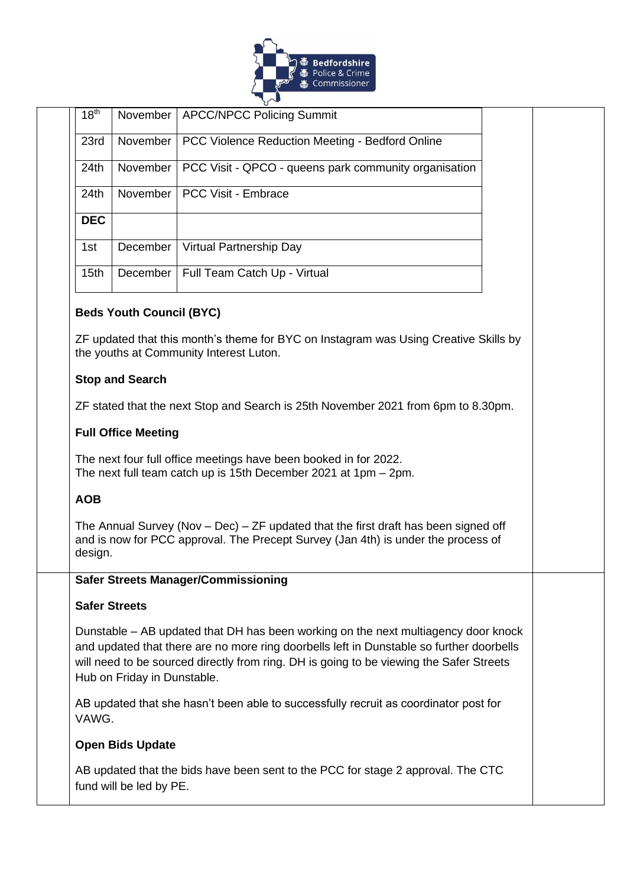

| 18 <sup>th</sup> | November | <b>APCC/NPCC Policing Summit</b>                      |
|------------------|----------|-------------------------------------------------------|
| 23rd             | November | PCC Violence Reduction Meeting - Bedford Online       |
| 24th             | November | PCC Visit - QPCO - queens park community organisation |
| 24th             | November | <b>PCC Visit - Embrace</b>                            |
| <b>DEC</b>       |          |                                                       |
| 1st              | December | Virtual Partnership Day                               |
| 15 <sub>th</sub> | December | Full Team Catch Up - Virtual                          |

ZF updated that this month's theme for BYC on Instagram was Using Creative Skills by the youths at Community Interest Luton.

## **Stop and Search**

ZF stated that the next Stop and Search is 25th November 2021 from 6pm to 8.30pm.

## **Full Office Meeting**

The next four full office meetings have been booked in for 2022. The next full team catch up is 15th December 2021 at 1pm – 2pm.

## **AOB**

The Annual Survey (Nov  $-$  Dec)  $-$  ZF updated that the first draft has been signed off and is now for PCC approval. The Precept Survey (Jan 4th) is under the process of design.

## **Safer Streets Manager/Commissioning**

## **Safer Streets**

Dunstable – AB updated that DH has been working on the next multiagency door knock and updated that there are no more ring doorbells left in Dunstable so further doorbells will need to be sourced directly from ring. DH is going to be viewing the Safer Streets Hub on Friday in Dunstable.

AB updated that she hasn't been able to successfully recruit as coordinator post for VAWG.

## **Open Bids Update**

AB updated that the bids have been sent to the PCC for stage 2 approval. The CTC fund will be led by PE.